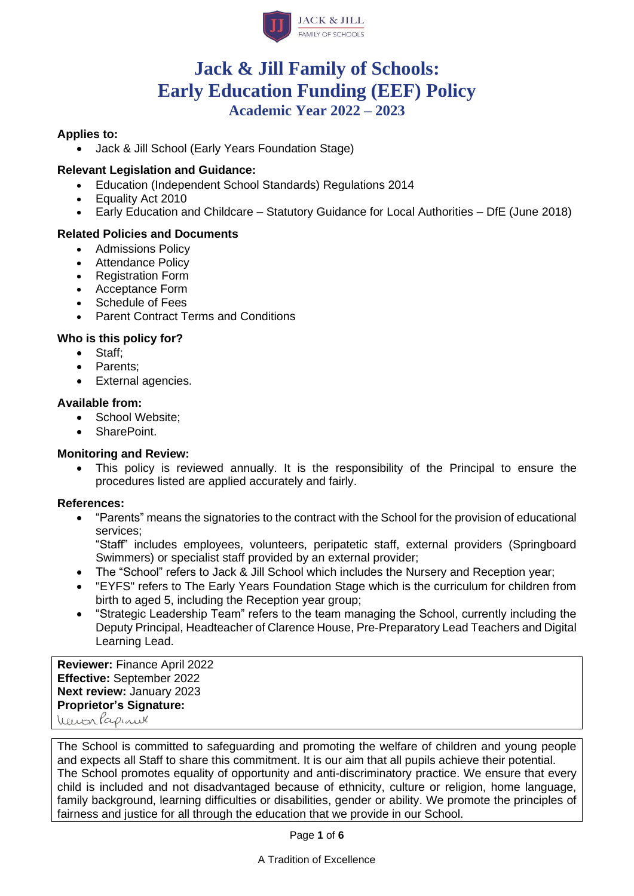

# **Jack & Jill Family of Schools: Early Education Funding (EEF) Policy Academic Year 2022 – 2023**

#### **Applies to:**

• Jack & Jill School (Early Years Foundation Stage)

#### **Relevant Legislation and Guidance:**

- Education (Independent School Standards) Regulations 2014
- Equality Act 2010
- Early Education and Childcare Statutory Guidance for Local Authorities DfE (June 2018)

#### **Related Policies and Documents**

- Admissions Policy
- **Attendance Policy**
- Registration Form
- Acceptance Form
- Schedule of Fees
- Parent Contract Terms and Conditions

#### **Who is this policy for?**

- Staff;
- Parents;
- External agencies.

#### **Available from:**

- School Website:
- SharePoint.

#### **Monitoring and Review:**

• This policy is reviewed annually. It is the responsibility of the Principal to ensure the procedures listed are applied accurately and fairly.

#### **References:**

• "Parents" means the signatories to the contract with the School for the provision of educational services;

"Staff" includes employees, volunteers, peripatetic staff, external providers (Springboard Swimmers) or specialist staff provided by an external provider;

- The "School" refers to Jack & Jill School which includes the Nursery and Reception year;
- "EYFS" refers to The Early Years Foundation Stage which is the curriculum for children from birth to aged 5, including the Reception year group;
- "Strategic Leadership Team" refers to the team managing the School, currently including the Deputy Principal, Headteacher of Clarence House, Pre-Preparatory Lead Teachers and Digital Learning Lead.

**Reviewer:** Finance April 2022 **Effective:** September 2022 **Next review:** January 2023 **Proprietor's Signature:** Verion Papinel

The School is committed to safeguarding and promoting the welfare of children and young people and expects all Staff to share this commitment. It is our aim that all pupils achieve their potential. The School promotes equality of opportunity and anti-discriminatory practice. We ensure that every child is included and not disadvantaged because of ethnicity, culture or religion, home language, family background, learning difficulties or disabilities, gender or ability. We promote the principles of fairness and justice for all through the education that we provide in our School.

Page **1** of **6**

A Tradition of Excellence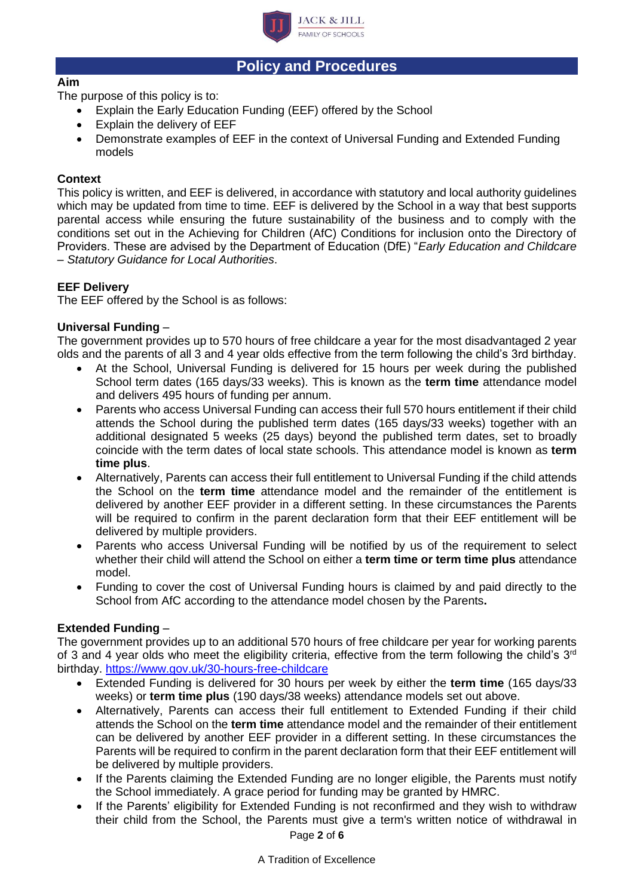

# **Policy and Procedures**

# **Aim**

The purpose of this policy is to:

- Explain the Early Education Funding (EEF) offered by the School
- Explain the delivery of EEF
- Demonstrate examples of EEF in the context of Universal Funding and Extended Funding models

# **Context**

This policy is written, and EEF is delivered, in accordance with statutory and local authority guidelines which may be updated from time to time. EEF is delivered by the School in a way that best supports parental access while ensuring the future sustainability of the business and to comply with the conditions set out in the Achieving for Children (AfC) Conditions for inclusion onto the Directory of Providers. These are advised by the Department of Education (DfE) "*Early Education and Childcare – Statutory Guidance for Local Authorities*.

# **EEF Delivery**

The EEF offered by the School is as follows:

# **Universal Funding** –

The government provides up to 570 hours of free childcare a year for the most disadvantaged 2 year olds and the parents of all 3 and 4 year olds effective from the term following the child's 3rd birthday.

- At the School, Universal Funding is delivered for 15 hours per week during the published School term dates (165 days/33 weeks). This is known as the **term time** attendance model and delivers 495 hours of funding per annum.
- Parents who access Universal Funding can access their full 570 hours entitlement if their child attends the School during the published term dates (165 days/33 weeks) together with an additional designated 5 weeks (25 days) beyond the published term dates, set to broadly coincide with the term dates of local state schools. This attendance model is known as **term time plus**.
- Alternatively, Parents can access their full entitlement to Universal Funding if the child attends the School on the **term time** attendance model and the remainder of the entitlement is delivered by another EEF provider in a different setting. In these circumstances the Parents will be required to confirm in the parent declaration form that their EEF entitlement will be delivered by multiple providers.
- Parents who access Universal Funding will be notified by us of the requirement to select whether their child will attend the School on either a **term time or term time plus** attendance model.
- Funding to cover the cost of Universal Funding hours is claimed by and paid directly to the School from AfC according to the attendance model chosen by the Parents**.**

### **Extended Funding** –

The government provides up to an additional 570 hours of free childcare per year for working parents of 3 and 4 year olds who meet the eligibility criteria, effective from the term following the child's  $3<sup>rd</sup>$ birthday.<https://www.gov.uk/30-hours-free-childcare>

- Extended Funding is delivered for 30 hours per week by either the **term time** (165 days/33 weeks) or **term time plus** (190 days/38 weeks) attendance models set out above.
- Alternatively, Parents can access their full entitlement to Extended Funding if their child attends the School on the **term time** attendance model and the remainder of their entitlement can be delivered by another EEF provider in a different setting. In these circumstances the Parents will be required to confirm in the parent declaration form that their EEF entitlement will be delivered by multiple providers.
- If the Parents claiming the Extended Funding are no longer eligible, the Parents must notify the School immediately. A grace period for funding may be granted by HMRC.
- If the Parents' eligibility for Extended Funding is not reconfirmed and they wish to withdraw their child from the School, the Parents must give a term's written notice of withdrawal in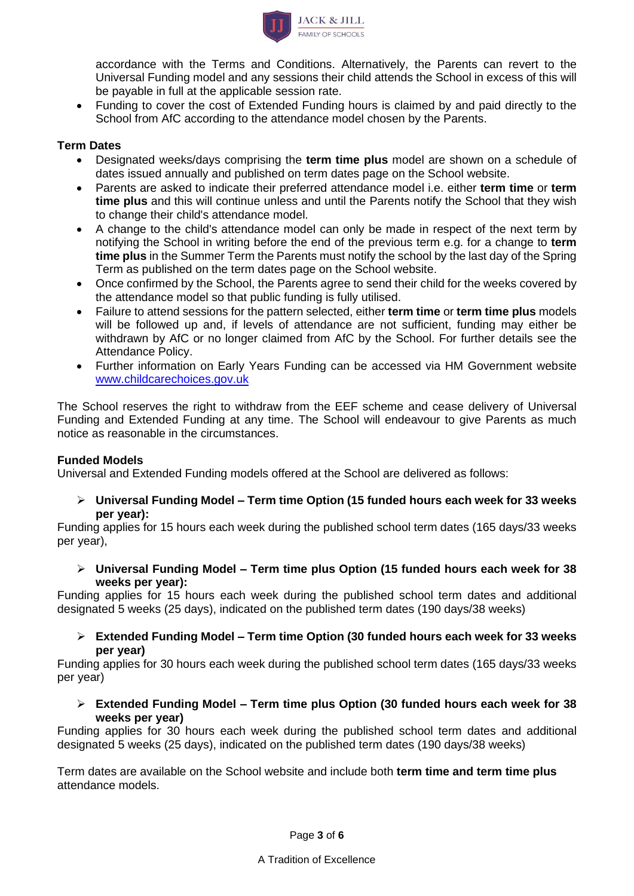

accordance with the Terms and Conditions. Alternatively, the Parents can revert to the Universal Funding model and any sessions their child attends the School in excess of this will be payable in full at the applicable session rate.

• Funding to cover the cost of Extended Funding hours is claimed by and paid directly to the School from AfC according to the attendance model chosen by the Parents.

### **Term Dates**

- Designated weeks/days comprising the **term time plus** model are shown on a schedule of dates issued annually and published on term dates page on the School website.
- Parents are asked to indicate their preferred attendance model i.e. either **term time** or **term time plus** and this will continue unless and until the Parents notify the School that they wish to change their child's attendance model.
- A change to the child's attendance model can only be made in respect of the next term by notifying the School in writing before the end of the previous term e.g. for a change to **term time plus** in the Summer Term the Parents must notify the school by the last day of the Spring Term as published on the term dates page on the School website.
- Once confirmed by the School, the Parents agree to send their child for the weeks covered by the attendance model so that public funding is fully utilised.
- Failure to attend sessions for the pattern selected, either **term time** or **term time plus** models will be followed up and, if levels of attendance are not sufficient, funding may either be withdrawn by AfC or no longer claimed from AfC by the School. For further details see the Attendance Policy.
- Further information on Early Years Funding can be accessed via HM Government website [www.childcarechoices.gov.uk](http://www.childcarechoices.gov.uk/)

The School reserves the right to withdraw from the EEF scheme and cease delivery of Universal Funding and Extended Funding at any time. The School will endeavour to give Parents as much notice as reasonable in the circumstances.

### **Funded Models**

Universal and Extended Funding models offered at the School are delivered as follows:

➢ **Universal Funding Model – Term time Option (15 funded hours each week for 33 weeks per year):**

Funding applies for 15 hours each week during the published school term dates (165 days/33 weeks per year),

➢ **Universal Funding Model – Term time plus Option (15 funded hours each week for 38 weeks per year):**

Funding applies for 15 hours each week during the published school term dates and additional designated 5 weeks (25 days), indicated on the published term dates (190 days/38 weeks)

➢ **Extended Funding Model – Term time Option (30 funded hours each week for 33 weeks per year)**

Funding applies for 30 hours each week during the published school term dates (165 days/33 weeks per year)

➢ **Extended Funding Model – Term time plus Option (30 funded hours each week for 38 weeks per year)**

Funding applies for 30 hours each week during the published school term dates and additional designated 5 weeks (25 days), indicated on the published term dates (190 days/38 weeks)

Term dates are available on the School website and include both **term time and term time plus** attendance models.

Page **3** of **6**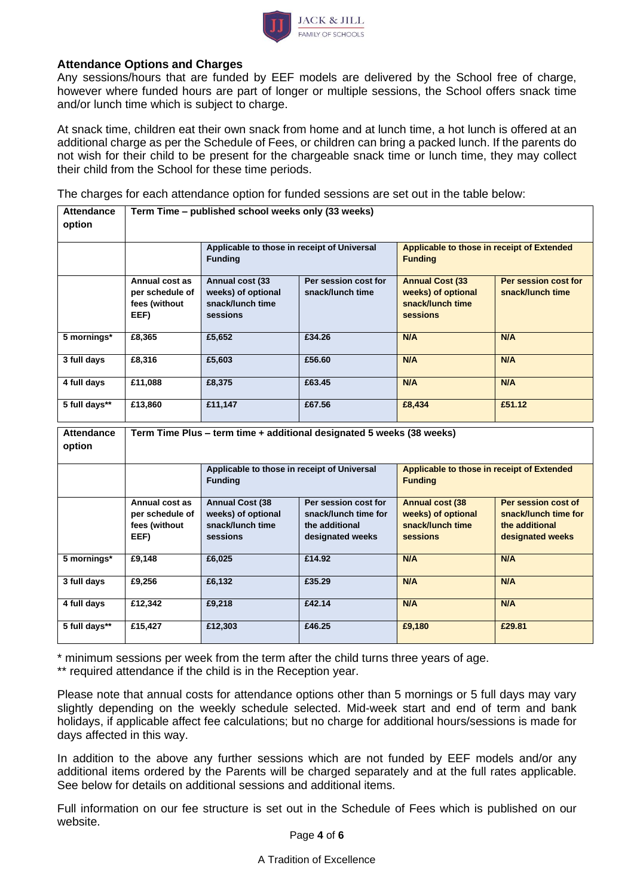

#### **Attendance Options and Charges**

Any sessions/hours that are funded by EEF models are delivered by the School free of charge, however where funded hours are part of longer or multiple sessions, the School offers snack time and/or lunch time which is subject to charge.

At snack time, children eat their own snack from home and at lunch time, a hot lunch is offered at an additional charge as per the Schedule of Fees, or children can bring a packed lunch. If the parents do not wish for their child to be present for the chargeable snack time or lunch time, they may collect their child from the School for these time periods.

The charges for each attendance option for funded sessions are set out in the table below:

| <b>Attendance</b><br>option | Term Time - published school weeks only (33 weeks)         |                                                                              |                                                                                    |                                                                                     |                                                                                   |  |
|-----------------------------|------------------------------------------------------------|------------------------------------------------------------------------------|------------------------------------------------------------------------------------|-------------------------------------------------------------------------------------|-----------------------------------------------------------------------------------|--|
|                             |                                                            | Applicable to those in receipt of Universal<br><b>Funding</b>                |                                                                                    | Applicable to those in receipt of Extended<br><b>Funding</b>                        |                                                                                   |  |
|                             | Annual cost as<br>per schedule of<br>fees (without<br>EEF) | Annual cost (33<br>weeks) of optional<br>snack/lunch time<br>sessions        | Per session cost for<br>snack/lunch time                                           | <b>Annual Cost (33</b><br>weeks) of optional<br>snack/lunch time<br><b>sessions</b> | Per session cost for<br>snack/lunch time                                          |  |
| 5 mornings*                 | £8.365                                                     | £5,652                                                                       | £34.26                                                                             | N/A                                                                                 | N/A                                                                               |  |
| 3 full days                 | £8,316                                                     | £5,603                                                                       | £56.60                                                                             | N/A                                                                                 | N/A                                                                               |  |
| 4 full days                 | £11,088                                                    | £8,375                                                                       | £63.45                                                                             | N/A                                                                                 | N/A                                                                               |  |
| 5 full days**               | £13,860                                                    | £11,147                                                                      | £67.56                                                                             | £8,434                                                                              | £51.12                                                                            |  |
| <b>Attendance</b><br>option |                                                            |                                                                              | Term Time Plus - term time + additional designated 5 weeks (38 weeks)              |                                                                                     |                                                                                   |  |
|                             |                                                            | Applicable to those in receipt of Universal<br><b>Funding</b>                |                                                                                    | Applicable to those in receipt of Extended<br><b>Funding</b>                        |                                                                                   |  |
|                             |                                                            |                                                                              |                                                                                    |                                                                                     |                                                                                   |  |
|                             | Annual cost as<br>per schedule of<br>fees (without<br>EEF) | <b>Annual Cost (38</b><br>weeks) of optional<br>snack/lunch time<br>sessions | Per session cost for<br>snack/lunch time for<br>the additional<br>designated weeks | <b>Annual cost (38</b><br>weeks) of optional<br>snack/lunch time<br>sessions        | Per session cost of<br>snack/lunch time for<br>the additional<br>designated weeks |  |
| 5 mornings*                 | £9,148                                                     | £6,025                                                                       | £14.92                                                                             | N/A                                                                                 | N/A                                                                               |  |
| 3 full days                 | £9,256                                                     | £6,132                                                                       | £35.29                                                                             | N/A                                                                                 | N/A                                                                               |  |
| 4 full days                 | £12,342                                                    | £9,218                                                                       | £42.14                                                                             | N/A                                                                                 | N/A                                                                               |  |

\* minimum sessions per week from the term after the child turns three years of age.

\*\* required attendance if the child is in the Reception year.

Please note that annual costs for attendance options other than 5 mornings or 5 full days may vary slightly depending on the weekly schedule selected. Mid-week start and end of term and bank holidays, if applicable affect fee calculations; but no charge for additional hours/sessions is made for days affected in this way.

In addition to the above any further sessions which are not funded by EEF models and/or any additional items ordered by the Parents will be charged separately and at the full rates applicable. See below for details on additional sessions and additional items.

Full information on our fee structure is set out in the Schedule of Fees which is published on our website.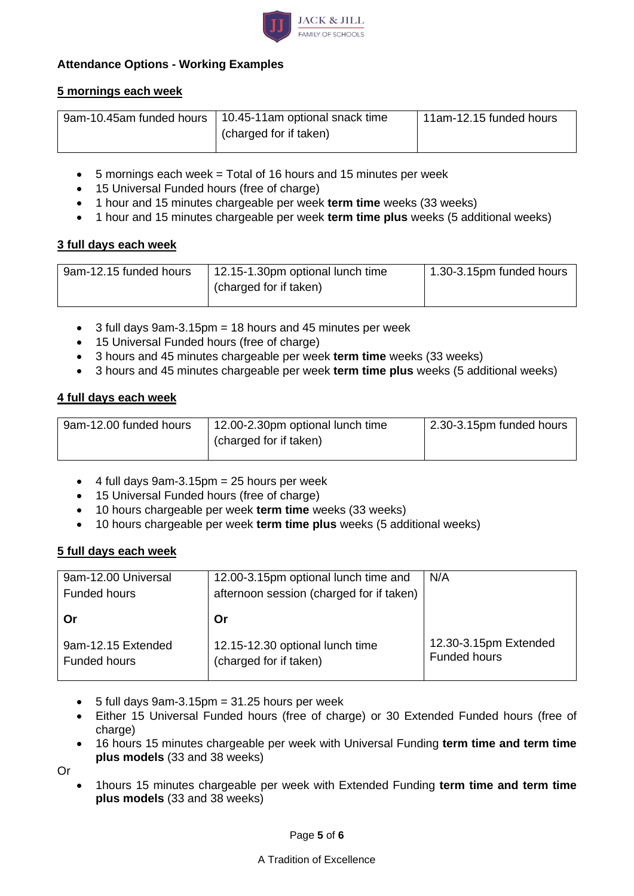

# **Attendance Options - Working Examples**

# **5 mornings each week**

| 9am-10.45am funded hours   10.45-11am optional snack time | 11am-12.15 funded hours |
|-----------------------------------------------------------|-------------------------|
| (charged for if taken)                                    |                         |
|                                                           |                         |

- 5 mornings each week = Total of 16 hours and 15 minutes per week
- 15 Universal Funded hours (free of charge)
- 1 hour and 15 minutes chargeable per week **term time** weeks (33 weeks)
- 1 hour and 15 minutes chargeable per week **term time plus** weeks (5 additional weeks)

### **3 full days each week**

| 9am-12.15 funded hours | 12.15-1.30pm optional lunch time | 1.30-3.15pm funded hours |
|------------------------|----------------------------------|--------------------------|
|                        | (charged for if taken)           |                          |
|                        |                                  |                          |

- 3 full days 9am-3.15pm = 18 hours and 45 minutes per week
- 15 Universal Funded hours (free of charge)
- 3 hours and 45 minutes chargeable per week **term time** weeks (33 weeks)
- 3 hours and 45 minutes chargeable per week **term time plus** weeks (5 additional weeks)

### **4 full days each week**

| 9am-12.00 funded hours | 12.00-2.30pm optional lunch time | 2.30-3.15pm funded hours |
|------------------------|----------------------------------|--------------------------|
|                        | (charged for if taken)           |                          |
|                        |                                  |                          |

- $\bullet$  4 full days 9am-3.15pm = 25 hours per week
- 15 Universal Funded hours (free of charge)
- 10 hours chargeable per week **term time** weeks (33 weeks)
- 10 hours chargeable per week **term time plus** weeks (5 additional weeks)

### **5 full days each week**

| 9am-12.00 Universal                | 12.00-3.15pm optional lunch time and                      | N/A                                          |
|------------------------------------|-----------------------------------------------------------|----------------------------------------------|
| Funded hours                       | afternoon session (charged for if taken)                  |                                              |
|                                    |                                                           |                                              |
|                                    | Or                                                        |                                              |
| 9am-12.15 Extended<br>Funded hours | 12.15-12.30 optional lunch time<br>(charged for if taken) | 12.30-3.15pm Extended<br><b>Funded hours</b> |

- $\bullet$  5 full days 9am-3.15pm = 31.25 hours per week
- Either 15 Universal Funded hours (free of charge) or 30 Extended Funded hours (free of charge)
- 16 hours 15 minutes chargeable per week with Universal Funding **term time and term time plus models** (33 and 38 weeks)

Or

• 1hours 15 minutes chargeable per week with Extended Funding **term time and term time plus models** (33 and 38 weeks)

#### A Tradition of Excellence